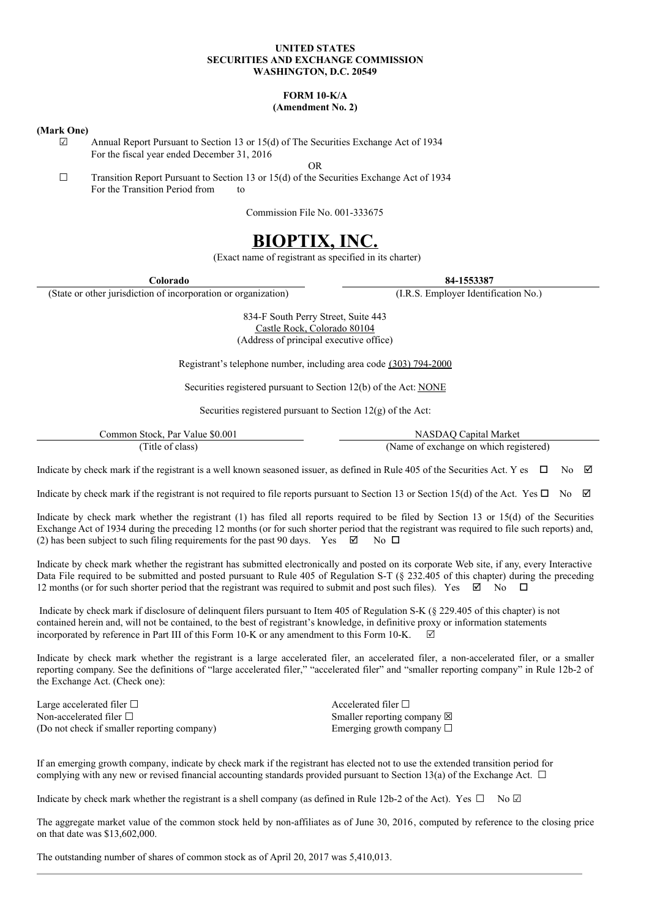#### **UNITED STATES SECURITIES AND EXCHANGE COMMISSION WASHINGTON, D.C. 20549**

# **FORM 10-K/A**

## **(Amendment No. 2)**

#### **(Mark One)**

☑ Annual Report Pursuant to Section 13 or 15(d) of The Securities Exchange Act of 1934 For the fiscal year ended December 31, 2016

OR

 $\Box$  Transition Report Pursuant to Section 13 or 15(d) of the Securities Exchange Act of 1934 For the Transition Period from to

Commission File No. 001-333675

## **BIOPTIX, INC.**

(Exact name of registrant as specified in its charter)

**Colorado 84-1553387**

(State or other jurisdiction of incorporation or organization) (I.R.S. Employer Identification No.)

834-F South Perry Street, Suite 443 Castle Rock, Colorado 80104 (Address of principal executive office)

Registrant's telephone number, including area code (303) 794-2000

Securities registered pursuant to Section 12(b) of the Act: NONE

Securities registered pursuant to Section 12(g) of the Act:

| Common Stock. Par Value \$0.001 | NASDAO Capital Market                  |
|---------------------------------|----------------------------------------|
| (Title of class)                | (Name of exchange on which registered) |

Indicate by check mark if the registrant is a well known seasoned issuer, as defined in Rule 405 of the Securities Act. Y es  $\Box$  No  $\Box$ 

Indicate by check mark if the registrant is not required to file reports pursuant to Section 13 or Section 15(d) of the Act. Yes  $\Box$  No  $\Box$ 

Indicate by check mark whether the registrant (1) has filed all reports required to be filed by Section 13 or 15(d) of the Securities Exchange Act of 1934 during the preceding 12 months (or for such shorter period that the registrant was required to file such reports) and, (2) has been subject to such filing requirements for the past 90 days. Yes  $\boxtimes$  No  $\square$ 

Indicate by check mark whether the registrant has submitted electronically and posted on its corporate Web site, if any, every Interactive Data File required to be submitted and posted pursuant to Rule 405 of Regulation S-T (§ 232.405 of this chapter) during the preceding 12 months (or for such shorter period that the registrant was required to submit and post such files). Yes  $\boxtimes$  No  $\Box$ 

Indicate by check mark if disclosure of delinquent filers pursuant to Item 405 of Regulation S-K (§ 229.405 of this chapter) is not contained herein and, will not be contained, to the best of registrant's knowledge, in definitive proxy or information statements incorporated by reference in Part III of this Form 10-K or any amendment to this Form 10-K.

Indicate by check mark whether the registrant is a large accelerated filer, an accelerated filer, a non-accelerated filer, or a smaller reporting company. See the definitions of "large accelerated filer," "accelerated filer" and "smaller reporting company" in Rule 12b-2 of the Exchange Act. (Check one):

Large accelerated filer  $□$ Non-accelerated filer □ (Do not check if smaller reporting company) Accelerated filer  $□$ Smaller reporting company  $\boxtimes$ Emerging growth company  $\Box$ 

If an emerging growth company, indicate by check mark if the registrant has elected not to use the extended transition period for complying with any new or revised financial accounting standards provided pursuant to Section 13(a) of the Exchange Act.  $\Box$ 

Indicate by check mark whether the registrant is a shell company (as defined in Rule 12b-2 of the Act). Yes  $\Box$  No  $\Box$ 

The aggregate market value of the common stock held by non-affiliates as of June 30, 2016, computed by reference to the closing price on that date was \$13,602,000.

The outstanding number of shares of common stock as of April 20, 2017 was 5,410,013.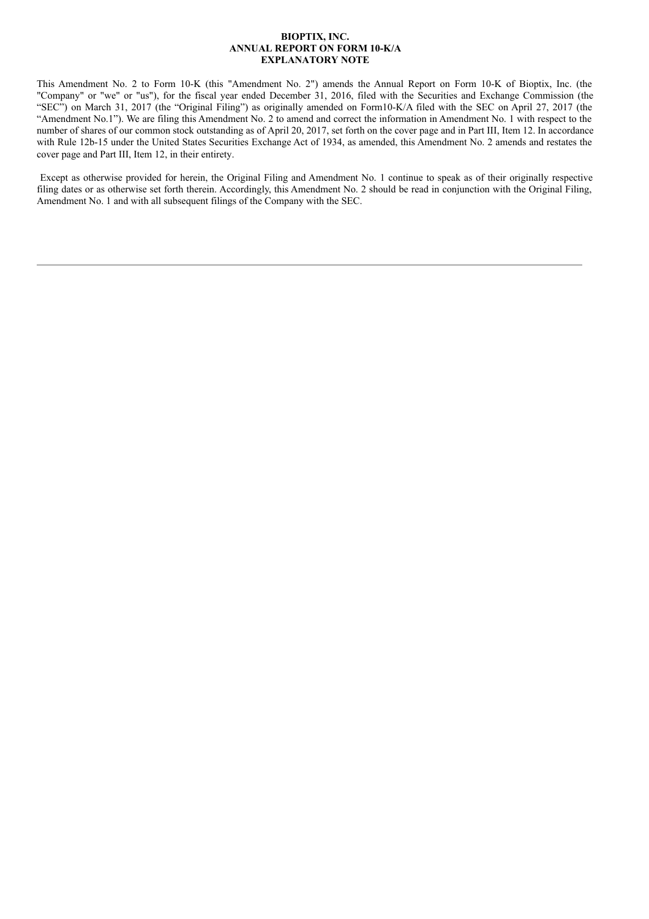#### **BIOPTIX, INC. ANNUAL REPORT ON FORM 10-K/A EXPLANATORY NOTE**

This Amendment No. 2 to Form 10-K (this "Amendment No. 2") amends the Annual Report on Form 10-K of Bioptix, Inc. (the "Company" or "we" or "us"), for the fiscal year ended December 31, 2016, filed with the Securities and Exchange Commission (the "SEC") on March 31, 2017 (the "Original Filing") as originally amended on Form10-K/A filed with the SEC on April 27, 2017 (the "Amendment No.1"). We are filing this Amendment No. 2 to amend and correct the information in Amendment No. 1 with respect to the number of shares of our common stock outstanding as of April 20, 2017, set forth on the cover page and in Part III, Item 12. In accordance with Rule 12b-15 under the United States Securities Exchange Act of 1934, as amended, this Amendment No. 2 amends and restates the cover page and Part III, Item 12, in their entirety.

Except as otherwise provided for herein, the Original Filing and Amendment No. 1 continue to speak as of their originally respective filing dates or as otherwise set forth therein. Accordingly, this Amendment No. 2 should be read in conjunction with the Original Filing, Amendment No. 1 and with all subsequent filings of the Company with the SEC.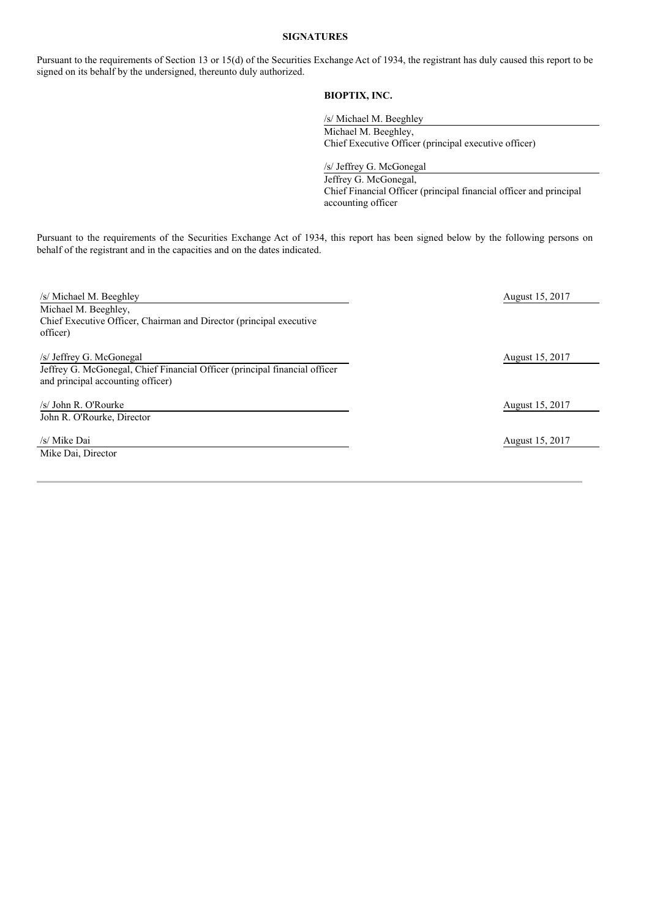## **SIGNATURES**

Pursuant to the requirements of Section 13 or 15(d) of the Securities Exchange Act of 1934, the registrant has duly caused this report to be signed on its behalf by the undersigned, thereunto duly authorized.

## **BIOPTIX, INC.**

/s/ Michael M. Beeghley

Michael M. Beeghley, Chief Executive Officer (principal executive officer)

/s/ Jeffrey G. McGonegal

Jeffrey G. McGonegal, Chief Financial Officer (principal financial officer and principal accounting officer

Pursuant to the requirements of the Securities Exchange Act of 1934, this report has been signed below by the following persons on behalf of the registrant and in the capacities and on the dates indicated.

| /s/ Michael M. Beeghley                                                    | August 15, 2017 |
|----------------------------------------------------------------------------|-----------------|
| Michael M. Beeghley,                                                       |                 |
| Chief Executive Officer, Chairman and Director (principal executive        |                 |
| officer)                                                                   |                 |
|                                                                            |                 |
| /s/ Jeffrey G. McGonegal                                                   | August 15, 2017 |
| Jeffrey G. McGonegal, Chief Financial Officer (principal financial officer |                 |
| and principal accounting officer)                                          |                 |
|                                                                            |                 |
| /s/ John R. O'Rourke                                                       | August 15, 2017 |
| John R. O'Rourke, Director                                                 |                 |
|                                                                            |                 |
| /s/ Mike Dai                                                               | August 15, 2017 |
| Mike Dai, Director                                                         |                 |
|                                                                            |                 |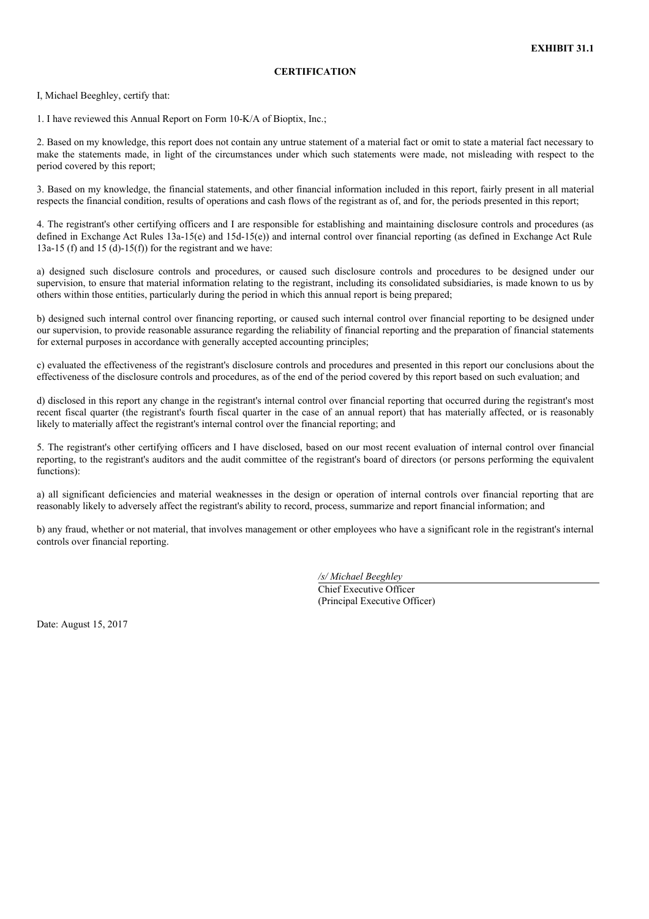## **CERTIFICATION**

I, Michael Beeghley, certify that:

1. I have reviewed this Annual Report on Form 10-K/A of Bioptix, Inc.;

2. Based on my knowledge, this report does not contain any untrue statement of a material fact or omit to state a material fact necessary to make the statements made, in light of the circumstances under which such statements were made, not misleading with respect to the period covered by this report;

3. Based on my knowledge, the financial statements, and other financial information included in this report, fairly present in all material respects the financial condition, results of operations and cash flows of the registrant as of, and for, the periods presented in this report;

4. The registrant's other certifying officers and I are responsible for establishing and maintaining disclosure controls and procedures (as defined in Exchange Act Rules 13a-15(e) and 15d-15(e)) and internal control over financial reporting (as defined in Exchange Act Rule 13a-15 (f) and 15 (d)-15(f)) for the registrant and we have:

a) designed such disclosure controls and procedures, or caused such disclosure controls and procedures to be designed under our supervision, to ensure that material information relating to the registrant, including its consolidated subsidiaries, is made known to us by others within those entities, particularly during the period in which this annual report is being prepared;

b) designed such internal control over financing reporting, or caused such internal control over financial reporting to be designed under our supervision, to provide reasonable assurance regarding the reliability of financial reporting and the preparation of financial statements for external purposes in accordance with generally accepted accounting principles;

c) evaluated the effectiveness of the registrant's disclosure controls and procedures and presented in this report our conclusions about the effectiveness of the disclosure controls and procedures, as of the end of the period covered by this report based on such evaluation; and

d) disclosed in this report any change in the registrant's internal control over financial reporting that occurred during the registrant's most recent fiscal quarter (the registrant's fourth fiscal quarter in the case of an annual report) that has materially affected, or is reasonably likely to materially affect the registrant's internal control over the financial reporting; and

5. The registrant's other certifying officers and I have disclosed, based on our most recent evaluation of internal control over financial reporting, to the registrant's auditors and the audit committee of the registrant's board of directors (or persons performing the equivalent functions):

a) all significant deficiencies and material weaknesses in the design or operation of internal controls over financial reporting that are reasonably likely to adversely affect the registrant's ability to record, process, summarize and report financial information; and

b) any fraud, whether or not material, that involves management or other employees who have a significant role in the registrant's internal controls over financial reporting.

*/s/ Michael Beeghley*

Chief Executive Officer (Principal Executive Officer)

Date: August 15, 2017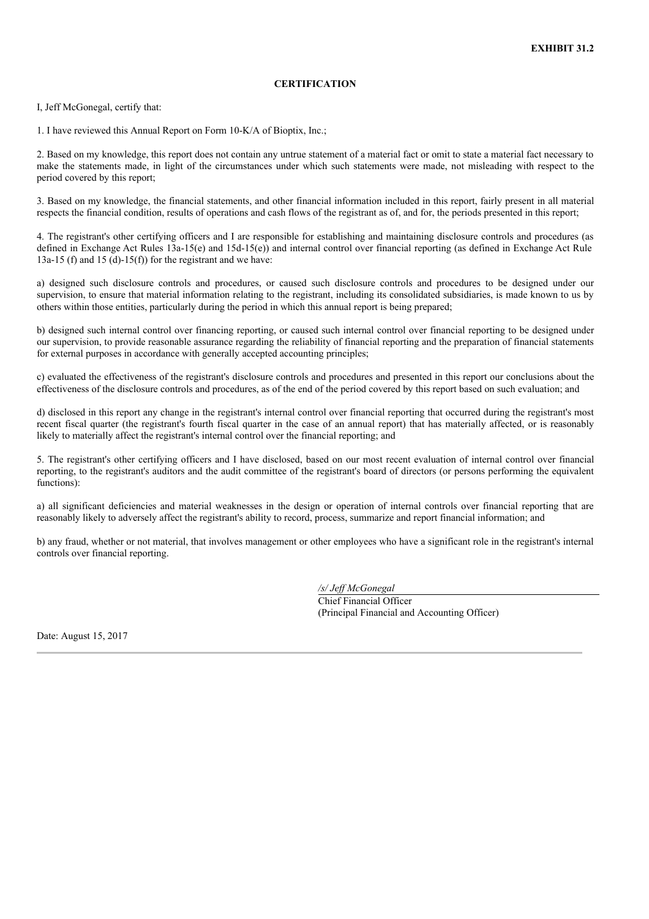## **CERTIFICATION**

I, Jeff McGonegal, certify that:

1. I have reviewed this Annual Report on Form 10-K/A of Bioptix, Inc.;

2. Based on my knowledge, this report does not contain any untrue statement of a material fact or omit to state a material fact necessary to make the statements made, in light of the circumstances under which such statements were made, not misleading with respect to the period covered by this report;

3. Based on my knowledge, the financial statements, and other financial information included in this report, fairly present in all material respects the financial condition, results of operations and cash flows of the registrant as of, and for, the periods presented in this report;

4. The registrant's other certifying officers and I are responsible for establishing and maintaining disclosure controls and procedures (as defined in Exchange Act Rules 13a-15(e) and 15d-15(e)) and internal control over financial reporting (as defined in Exchange Act Rule 13a-15 (f) and 15 (d)-15(f)) for the registrant and we have:

a) designed such disclosure controls and procedures, or caused such disclosure controls and procedures to be designed under our supervision, to ensure that material information relating to the registrant, including its consolidated subsidiaries, is made known to us by others within those entities, particularly during the period in which this annual report is being prepared;

b) designed such internal control over financing reporting, or caused such internal control over financial reporting to be designed under our supervision, to provide reasonable assurance regarding the reliability of financial reporting and the preparation of financial statements for external purposes in accordance with generally accepted accounting principles;

c) evaluated the effectiveness of the registrant's disclosure controls and procedures and presented in this report our conclusions about the effectiveness of the disclosure controls and procedures, as of the end of the period covered by this report based on such evaluation; and

d) disclosed in this report any change in the registrant's internal control over financial reporting that occurred during the registrant's most recent fiscal quarter (the registrant's fourth fiscal quarter in the case of an annual report) that has materially affected, or is reasonably likely to materially affect the registrant's internal control over the financial reporting; and

5. The registrant's other certifying officers and I have disclosed, based on our most recent evaluation of internal control over financial reporting, to the registrant's auditors and the audit committee of the registrant's board of directors (or persons performing the equivalent functions):

a) all significant deficiencies and material weaknesses in the design or operation of internal controls over financial reporting that are reasonably likely to adversely affect the registrant's ability to record, process, summarize and report financial information; and

b) any fraud, whether or not material, that involves management or other employees who have a significant role in the registrant's internal controls over financial reporting.

*/s/ Jef McGonegal*

Chief Financial Officer (Principal Financial and Accounting Officer)

Date: August 15, 2017